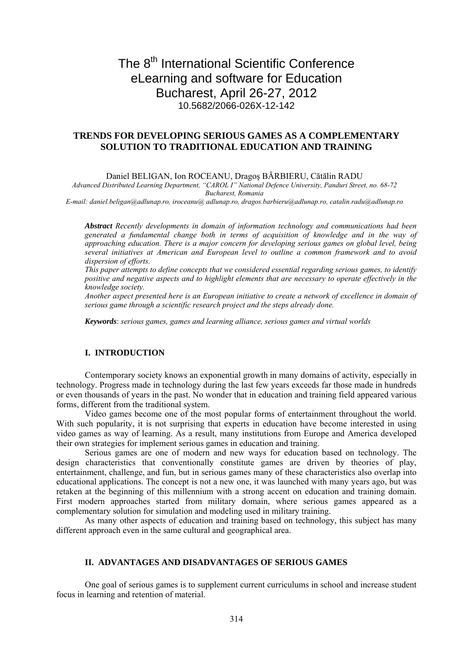# The 8<sup>th</sup> International Scientific Conference eLearning and software for Education Bucharest, April 26-27, 2012 10.5682/2066-026X-12-142

# **TRENDS FOR DEVELOPING SERIOUS GAMES AS A COMPLEMENTARY SOLUTION TO TRADITIONAL EDUCATION AND TRAINING**

Daniel BELIGAN, Ion ROCEANU, Dragoş BĂRBIERU, Cătălin RADU

*Advanced Distributed Learning Department, "CAROL I" National Defence University, Panduri Street, no. 68-72 Bucharest, Romania* 

*E-mail: daniel.beligan@adlunap.ro, iroceanu@ adlunap.ro, dragos.barbieru@adlunap.ro, catalin.radu@adlunap.ro*

*Abstract Recently developments in domain of information technology and communications had been generated a fundamental change both in terms of acquisition of knowledge and in the way of approaching education. There is a major concern for developing serious games on global level, being several initiatives at American and European level to outline a common framework and to avoid dispersion of efforts.* 

*This paper attempts to define concepts that we considered essential regarding serious games, to identify positive and negative aspects and to highlight elements that are necessary to operate effectively in the knowledge society.* 

*Another aspect presented here is an European initiative to create a network of excellence in domain of serious game through a scientific research project and the steps already done.* 

*Keywords*: *serious games, games and learning alliance, serious games and virtual worlds* 

# **I. INTRODUCTION**

Contemporary society knows an exponential growth in many domains of activity, especially in technology. Progress made in technology during the last few years exceeds far those made in hundreds or even thousands of years in the past. No wonder that in education and training field appeared various forms, different from the traditional system.

Video games become one of the most popular forms of entertainment throughout the world. With such popularity, it is not surprising that experts in education have become interested in using video games as way of learning. As a result, many institutions from Europe and America developed their own strategies for implement serious games in education and training.

Serious games are one of modern and new ways for education based on technology. The design characteristics that conventionally constitute games are driven by theories of play, entertainment, challenge, and fun, but in serious games many of these characteristics also overlap into educational applications. The concept is not a new one, it was launched with many years ago, but was retaken at the beginning of this millennium with a strong accent on education and training domain. First modern approaches started from military domain, where serious games appeared as a complementary solution for simulation and modeling used in military training.

As many other aspects of education and training based on technology, this subject has many different approach even in the same cultural and geographical area.

## **II. .ADVANTAGES AND DISADVANTAGES OF SERIOUS GAMES**

One goal of serious games is to supplement current curriculums in school and increase student focus in learning and retention of material.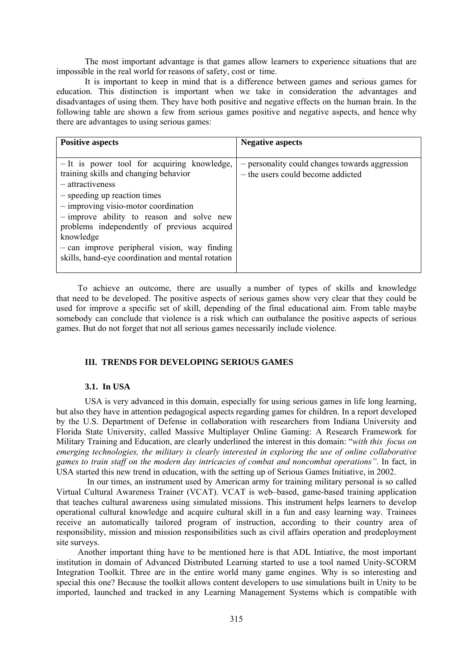The most important advantage is that games allow learners to experience situations that are impossible in the real world for reasons of safety, cost or time.

It is important to keep in mind that is a difference between games and serious games for education. This distinction is important when we take in consideration the advantages and disadvantages of using them. They have both positive and negative effects on the human brain. In the following table are shown a few from serious games positive and negative aspects, and hence why there are advantages to using serious games:

| <b>Positive aspects</b>                                                                                                                                                                                                                                                                     | <b>Negative aspects</b>                                                             |
|---------------------------------------------------------------------------------------------------------------------------------------------------------------------------------------------------------------------------------------------------------------------------------------------|-------------------------------------------------------------------------------------|
| - It is power tool for acquiring knowledge,<br>training skills and changing behavior<br>- attractiveness<br>- speeding up reaction times<br>$-$ improving visio-motor coordination<br>- improve ability to reason and solve new<br>problems independently of previous acquired<br>knowledge | - personality could changes towards aggression<br>- the users could become addicted |
| $-$ can improve peripheral vision, way finding<br>skills, hand-eye coordination and mental rotation                                                                                                                                                                                         |                                                                                     |
|                                                                                                                                                                                                                                                                                             |                                                                                     |

To achieve an outcome, there are usually a number of types of skills and knowledge that need to be developed. The positive aspects of serious games show very clear that they could be used for improve a specific set of skill, depending of the final educational aim. From table maybe somebody can conclude that violence is a risk which can outbalance the positive aspects of serious games. But do not forget that not all serious games necessarily include violence.

# **III. TRENDS FOR DEVELOPING SERIOUS GAMES**

## **3.1.** In USA

USA is very advanced in this domain, especially for using serious games in life long learning, but also they have in attention pedagogical aspects regarding games for children. In a report developed by the U.S. Department of Defense in collaboration with researchers from Indiana University and Florida State University, called Massive Multiplayer Online Gaming: A Research Framework for Military Training and Education, are clearly underlined the interest in this domain: "*with this focus on emerging technologies, the military is clearly interested in exploring the use of online collaborative games to train staff on the modern day intricacies of combat and noncombat operations"*. In fact, in USA started this new trend in education, with the setting up of Serious Games Initiative, in 2002.

 In our times, an instrument used by American army for training military personal is so called Virtual Cultural Awareness Trainer (VCAT). VCAT is web–based, game-based training application that teaches cultural awareness using simulated missions. This instrument helps learners to develop operational cultural knowledge and acquire cultural skill in a fun and easy learning way. Trainees receive an automatically tailored program of instruction, according to their country area of responsibility, mission and mission responsibilities such as civil affairs operation and predeployment site surveys.

Another important thing have to be mentioned here is that ADL Intiative, the most important institution in domain of Advanced Distributed Learning started to use a tool named Unity-SCORM Integration Toolkit. Three are in the entire world many game engines. Why is so interesting and special this one? Because the toolkit allows content developers to use simulations built in Unity to be imported, launched and tracked in any Learning Management Systems which is compatible with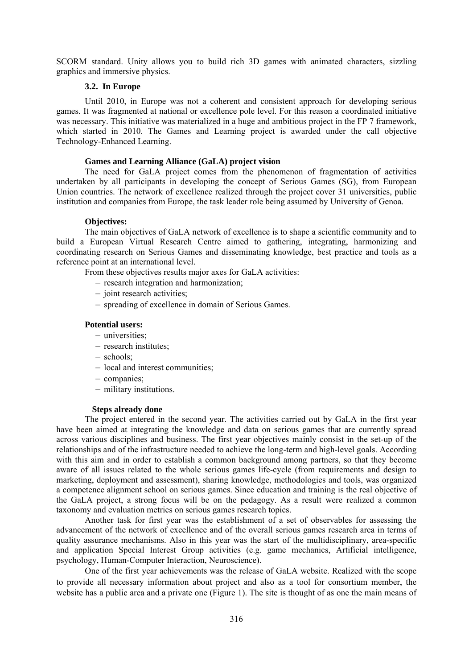SCORM standard. Unity allows you to build rich 3D games with animated characters, sizzling graphics and immersive physics.

## **3.2.** In Europe

Until 2010, in Europe was not a coherent and consistent approach for developing serious games. It was fragmented at national or excellence pole level. For this reason a coordinated initiative was necessary. This initiative was materialized in a huge and ambitious project in the FP 7 framework, which started in 2010. The Games and Learning project is awarded under the call objective Technology-Enhanced Learning.

# **Games and Learning Alliance (GaLA) project vision**

The need for GaLA project comes from the phenomenon of fragmentation of activities undertaken by all participants in developing the concept of Serious Games (SG), from European Union countries. The network of excellence realized through the project cover 31 universities, public institution and companies from Europe, the task leader role being assumed by University of Genoa.

## **Objectives:**

The main objectives of GaLA network of excellence is to shape a scientific community and to build a European Virtual Research Centre aimed to gathering, integrating, harmonizing and coordinating research on Serious Games and disseminating knowledge, best practice and tools as a reference point at an international level.

From these objectives results major axes for GaLA activities:

- research integration and harmonization;
- joint research activities;
- spreading of excellence in domain of Serious Games.

## **Potential users:**

- universities;
- research institutes;
- schools;
- local and interest communities;
- companies;
- military institutions.

#### **Steps already done**

The project entered in the second year. The activities carried out by GaLA in the first year have been aimed at integrating the knowledge and data on serious games that are currently spread across various disciplines and business. The first year objectives mainly consist in the set-up of the relationships and of the infrastructure needed to achieve the long-term and high-level goals. According with this aim and in order to establish a common background among partners, so that they become aware of all issues related to the whole serious games life-cycle (from requirements and design to marketing, deployment and assessment), sharing knowledge, methodologies and tools, was organized a competence alignment school on serious games. Since education and training is the real objective of the GaLA project, a strong focus will be on the pedagogy. As a result were realized a common taxonomy and evaluation metrics on serious games research topics.

Another task for first year was the establishment of a set of observables for assessing the advancement of the network of excellence and of the overall serious games research area in terms of quality assurance mechanisms. Also in this year was the start of the multidisciplinary, area-specific and application Special Interest Group activities (e.g. game mechanics, Artificial intelligence, psychology, Human-Computer Interaction, Neuroscience).

One of the first year achievements was the release of GaLA website. Realized with the scope to provide all necessary information about project and also as a tool for consortium member, the website has a public area and a private one (Figure 1). The site is thought of as one the main means of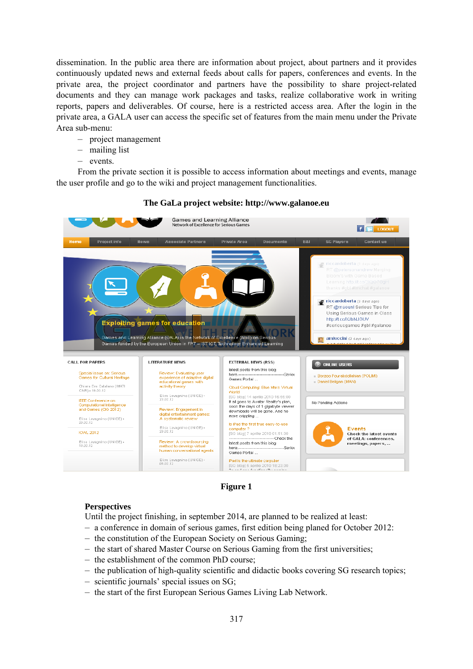dissemination. In the public area there are information about project, about partners and it provides continuously updated news and external feeds about calls for papers, conferences and events. In the private area, the project coordinator and partners have the possibility to share project-related documents and they can manage work packages and tasks, realize collaborative work in writing reports, papers and deliverables. Of course, here is a restricted access area. After the login in the private area, a GALA user can access the specific set of features from the main menu under the Private Area sub-menu:

- project management
- mailing list
- events.

From the private section it is possible to access information about meetings and events, manage the user profile and go to the wiki and project management functionalities.



## **The GaLa project website: http://www.galanoe.eu**

**Figure 1** 

# **Perspectives**

Until the project finishing, in september 2014, are planned to be realized at least:

- a conference in domain of serious games, first edition being planed for October 2012:
- the constitution of the European Society on Serious Gaming;
- the start of shared Master Course on Serious Gaming from the first universities;
- the establishment of the common PhD course;
- the publication of high-quality scientific and didactic books covering SG research topics;
- scientific journals' special issues on SG;
- the start of the first European Serious Games Living Lab Network.